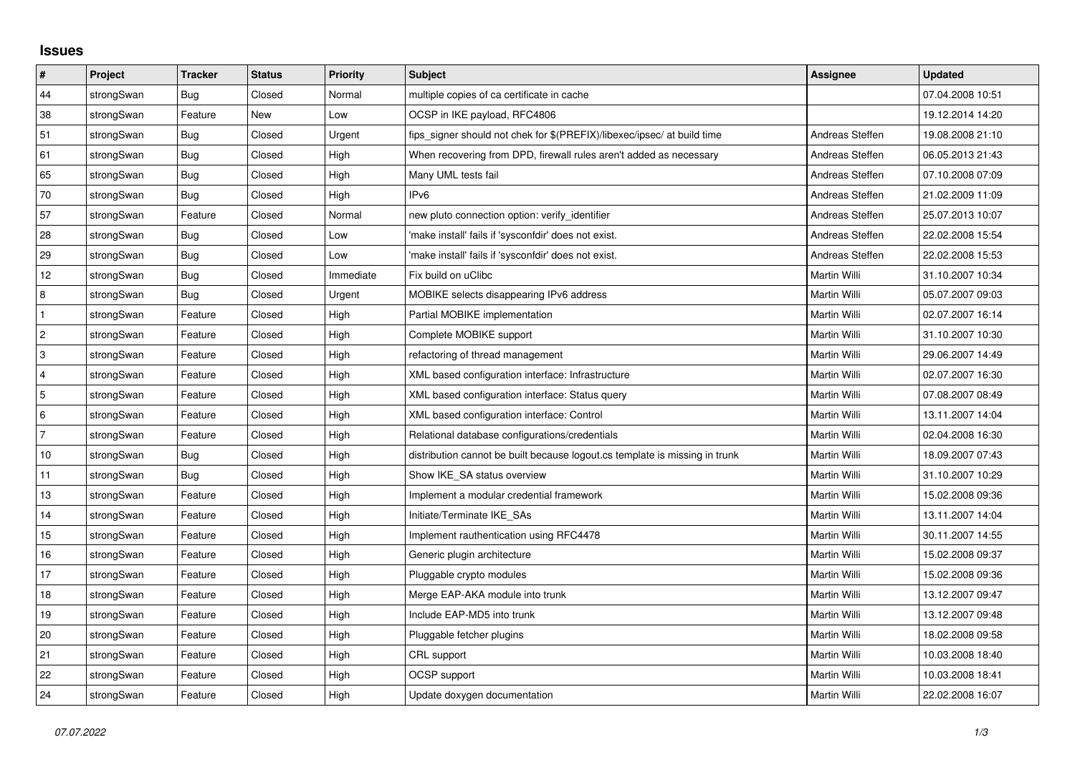## **Issues**

| $\vert$ #      | <b>Project</b> | <b>Tracker</b> | <b>Status</b> | <b>Priority</b> | <b>Subject</b>                                                              | <b>Assignee</b> | <b>Updated</b>   |
|----------------|----------------|----------------|---------------|-----------------|-----------------------------------------------------------------------------|-----------------|------------------|
| 44             | strongSwan     | Bug            | Closed        | Normal          | multiple copies of ca certificate in cache                                  |                 | 07.04.2008 10:51 |
| $38\,$         | strongSwan     | Feature        | New           | Low             | OCSP in IKE payload, RFC4806                                                |                 | 19.12.2014 14:20 |
| 51             | strongSwan     | Bug            | Closed        | Urgent          | fips_signer should not chek for \$(PREFIX)/libexec/ipsec/ at build time     | Andreas Steffen | 19.08.2008 21:10 |
| 61             | strongSwan     | Bug            | Closed        | High            | When recovering from DPD, firewall rules aren't added as necessary          | Andreas Steffen | 06.05.2013 21:43 |
| 65             | strongSwan     | Bug            | Closed        | High            | Many UML tests fail                                                         | Andreas Steffen | 07.10.2008 07:09 |
| 70             | strongSwan     | Bug            | Closed        | High            | IP <sub>v6</sub>                                                            | Andreas Steffen | 21.02.2009 11:09 |
| 57             | strongSwan     | Feature        | Closed        | Normal          | new pluto connection option: verify identifier                              | Andreas Steffen | 25.07.2013 10:07 |
| 28             | strongSwan     | Bug            | Closed        | Low             | 'make install' fails if 'sysconfdir' does not exist.                        | Andreas Steffen | 22.02.2008 15:54 |
| 29             | strongSwan     | Bug            | Closed        | Low             | 'make install' fails if 'sysconfdir' does not exist.                        | Andreas Steffen | 22.02.2008 15:53 |
| 12             | strongSwan     | Bug            | Closed        | Immediate       | Fix build on uClibc                                                         | Martin Willi    | 31.10.2007 10:34 |
| 8              | strongSwan     | Bug            | Closed        | Urgent          | MOBIKE selects disappearing IPv6 address                                    | Martin Willi    | 05.07.2007 09:03 |
| $\mathbf{1}$   | strongSwan     | Feature        | Closed        | High            | Partial MOBIKE implementation                                               | Martin Willi    | 02.07.2007 16:14 |
| $\overline{2}$ | strongSwan     | Feature        | Closed        | High            | Complete MOBIKE support                                                     | Martin Willi    | 31.10.2007 10:30 |
| 3              | strongSwan     | Feature        | Closed        | High            | refactoring of thread management                                            | Martin Willi    | 29.06.2007 14:49 |
| $\overline{4}$ | strongSwan     | Feature        | Closed        | High            | XML based configuration interface: Infrastructure                           | Martin Willi    | 02.07.2007 16:30 |
| 5              | strongSwan     | Feature        | Closed        | High            | XML based configuration interface: Status query                             | Martin Willi    | 07.08.2007 08:49 |
| 6              | strongSwan     | Feature        | Closed        | High            | XML based configuration interface: Control                                  | Martin Willi    | 13.11.2007 14:04 |
| $\overline{7}$ | strongSwan     | Feature        | Closed        | High            | Relational database configurations/credentials                              | Martin Willi    | 02.04.2008 16:30 |
| 10             | strongSwan     | Bug            | Closed        | High            | distribution cannot be built because logout.cs template is missing in trunk | Martin Willi    | 18.09.2007 07:43 |
| 11             | strongSwan     | Bug            | Closed        | High            | Show IKE_SA status overview                                                 | Martin Willi    | 31.10.2007 10:29 |
| 13             | strongSwan     | Feature        | Closed        | High            | Implement a modular credential framework                                    | Martin Willi    | 15.02.2008 09:36 |
| 14             | strongSwan     | Feature        | Closed        | High            | Initiate/Terminate IKE_SAs                                                  | Martin Willi    | 13.11.2007 14:04 |
| 15             | strongSwan     | Feature        | Closed        | High            | Implement rauthentication using RFC4478                                     | Martin Willi    | 30.11.2007 14:55 |
| 16             | strongSwan     | Feature        | Closed        | High            | Generic plugin architecture                                                 | Martin Willi    | 15.02.2008 09:37 |
| 17             | strongSwan     | Feature        | Closed        | High            | Pluggable crypto modules                                                    | Martin Willi    | 15.02.2008 09:36 |
| 18             | strongSwan     | Feature        | Closed        | High            | Merge EAP-AKA module into trunk                                             | Martin Willi    | 13.12.2007 09:47 |
| 19             | strongSwan     | Feature        | Closed        | High            | Include EAP-MD5 into trunk                                                  | Martin Willi    | 13.12.2007 09:48 |
| 20             | strongSwan     | Feature        | Closed        | High            | Pluggable fetcher plugins                                                   | Martin Willi    | 18.02.2008 09:58 |
| 21             | strongSwan     | Feature        | Closed        | High            | CRL support                                                                 | Martin Willi    | 10.03.2008 18:40 |
| 22             | strongSwan     | Feature        | Closed        | High            | OCSP support                                                                | Martin Willi    | 10.03.2008 18:41 |
| 24             | strongSwan     | Feature        | Closed        | High            | Update doxygen documentation                                                | Martin Willi    | 22.02.2008 16:07 |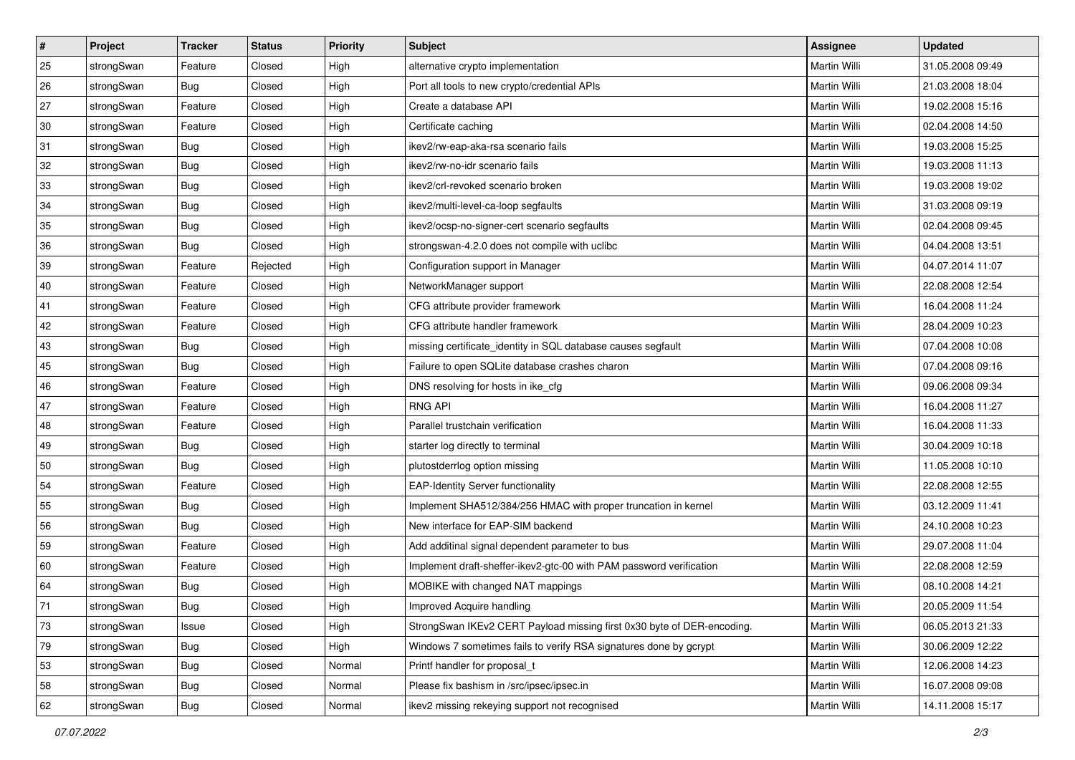| $\vert$ # | Project    | <b>Tracker</b> | <b>Status</b> | Priority | <b>Subject</b>                                                         | <b>Assignee</b> | <b>Updated</b>   |
|-----------|------------|----------------|---------------|----------|------------------------------------------------------------------------|-----------------|------------------|
| 25        | strongSwan | Feature        | Closed        | High     | alternative crypto implementation                                      | Martin Willi    | 31.05.2008 09:49 |
| 26        | strongSwan | Bug            | Closed        | High     | Port all tools to new crypto/credential APIs                           | Martin Willi    | 21.03.2008 18:04 |
| 27        | strongSwan | Feature        | Closed        | High     | Create a database API                                                  | Martin Willi    | 19.02.2008 15:16 |
| 30        | strongSwan | Feature        | Closed        | High     | Certificate caching                                                    | Martin Willi    | 02.04.2008 14:50 |
| 31        | strongSwan | Bug            | Closed        | High     | ikev2/rw-eap-aka-rsa scenario fails                                    | Martin Willi    | 19.03.2008 15:25 |
| 32        | strongSwan | <b>Bug</b>     | Closed        | High     | ikev2/rw-no-idr scenario fails                                         | Martin Willi    | 19.03.2008 11:13 |
| 33        | strongSwan | Bug            | Closed        | High     | ikev2/crl-revoked scenario broken                                      | Martin Willi    | 19.03.2008 19:02 |
| 34        | strongSwan | Bug            | Closed        | High     | ikev2/multi-level-ca-loop segfaults                                    | Martin Willi    | 31.03.2008 09:19 |
| 35        | strongSwan | <b>Bug</b>     | Closed        | High     | ikev2/ocsp-no-signer-cert scenario segfaults                           | Martin Willi    | 02.04.2008 09:45 |
| 36        | strongSwan | Bug            | Closed        | High     | strongswan-4.2.0 does not compile with uclibc                          | Martin Willi    | 04.04.2008 13:51 |
| 39        | strongSwan | Feature        | Rejected      | High     | Configuration support in Manager                                       | Martin Willi    | 04.07.2014 11:07 |
| 40        | strongSwan | Feature        | Closed        | High     | NetworkManager support                                                 | Martin Willi    | 22.08.2008 12:54 |
| 41        | strongSwan | Feature        | Closed        | High     | CFG attribute provider framework                                       | Martin Willi    | 16.04.2008 11:24 |
| 42        | strongSwan | Feature        | Closed        | High     | CFG attribute handler framework                                        | Martin Willi    | 28.04.2009 10:23 |
| 43        | strongSwan | Bug            | Closed        | High     | missing certificate_identity in SQL database causes segfault           | Martin Willi    | 07.04.2008 10:08 |
| 45        | strongSwan | <b>Bug</b>     | Closed        | High     | Failure to open SQLite database crashes charon                         | Martin Willi    | 07.04.2008 09:16 |
| 46        | strongSwan | Feature        | Closed        | High     | DNS resolving for hosts in ike_cfg                                     | Martin Willi    | 09.06.2008 09:34 |
| 47        | strongSwan | Feature        | Closed        | High     | <b>RNG API</b>                                                         | Martin Willi    | 16.04.2008 11:27 |
| 48        | strongSwan | Feature        | Closed        | High     | Parallel trustchain verification                                       | Martin Willi    | 16.04.2008 11:33 |
| 49        | strongSwan | Bug            | Closed        | High     | starter log directly to terminal                                       | Martin Willi    | 30.04.2009 10:18 |
| 50        | strongSwan | Bug            | Closed        | High     | plutostderrlog option missing                                          | Martin Willi    | 11.05.2008 10:10 |
| 54        | strongSwan | Feature        | Closed        | High     | <b>EAP-Identity Server functionality</b>                               | Martin Willi    | 22.08.2008 12:55 |
| 55        | strongSwan | Bug            | Closed        | High     | Implement SHA512/384/256 HMAC with proper truncation in kernel         | Martin Willi    | 03.12.2009 11:41 |
| 56        | strongSwan | <b>Bug</b>     | Closed        | High     | New interface for EAP-SIM backend                                      | Martin Willi    | 24.10.2008 10:23 |
| 59        | strongSwan | Feature        | Closed        | High     | Add additinal signal dependent parameter to bus                        | Martin Willi    | 29.07.2008 11:04 |
| 60        | strongSwan | Feature        | Closed        | High     | Implement draft-sheffer-ikev2-gtc-00 with PAM password verification    | Martin Willi    | 22.08.2008 12:59 |
| 64        | strongSwan | <b>Bug</b>     | Closed        | High     | MOBIKE with changed NAT mappings                                       | Martin Willi    | 08.10.2008 14:21 |
| 71        | strongSwan | Bug            | Closed        | High     | Improved Acquire handling                                              | Martin Willi    | 20.05.2009 11:54 |
| 73        | strongSwan | Issue          | Closed        | High     | StrongSwan IKEv2 CERT Payload missing first 0x30 byte of DER-encoding. | Martin Willi    | 06.05.2013 21:33 |
| 79        | strongSwan | Bug            | Closed        | High     | Windows 7 sometimes fails to verify RSA signatures done by gcrypt      | Martin Willi    | 30.06.2009 12:22 |
| 53        | strongSwan | Bug            | Closed        | Normal   | Printf handler for proposal t                                          | Martin Willi    | 12.06.2008 14:23 |
| 58        | strongSwan | Bug            | Closed        | Normal   | Please fix bashism in /src/ipsec/ipsec.in                              | Martin Willi    | 16.07.2008 09:08 |
| 62        | strongSwan | <b>Bug</b>     | Closed        | Normal   | ikev2 missing rekeying support not recognised                          | Martin Willi    | 14.11.2008 15:17 |